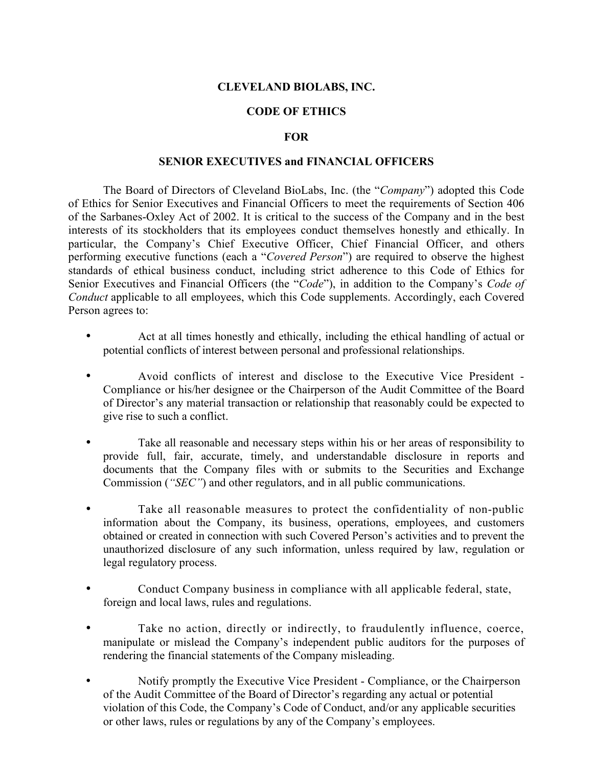## **CLEVELAND BIOLABS, INC.**

# **CODE OF ETHICS**

### **FOR**

#### **SENIOR EXECUTIVES and FINANCIAL OFFICERS**

The Board of Directors of Cleveland BioLabs, Inc. (the "*Company*") adopted this Code of Ethics for Senior Executives and Financial Officers to meet the requirements of Section 406 of the Sarbanes-Oxley Act of 2002. It is critical to the success of the Company and in the best interests of its stockholders that its employees conduct themselves honestly and ethically. In particular, the Company's Chief Executive Officer, Chief Financial Officer, and others performing executive functions (each a "*Covered Person*") are required to observe the highest standards of ethical business conduct, including strict adherence to this Code of Ethics for Senior Executives and Financial Officers (the "*Code*"), in addition to the Company's *Code of Conduct* applicable to all employees, which this Code supplements. Accordingly, each Covered Person agrees to:

- Act at all times honestly and ethically, including the ethical handling of actual or potential conflicts of interest between personal and professional relationships.
- Avoid conflicts of interest and disclose to the Executive Vice President Compliance or his/her designee or the Chairperson of the Audit Committee of the Board of Director's any material transaction or relationship that reasonably could be expected to give rise to such a conflict.
- Take all reasonable and necessary steps within his or her areas of responsibility to provide full, fair, accurate, timely, and understandable disclosure in reports and documents that the Company files with or submits to the Securities and Exchange Commission (*"SEC"*) and other regulators, and in all public communications.
- Take all reasonable measures to protect the confidentiality of non-public information about the Company, its business, operations, employees, and customers obtained or created in connection with such Covered Person's activities and to prevent the unauthorized disclosure of any such information, unless required by law, regulation or legal regulatory process.
- Conduct Company business in compliance with all applicable federal, state, foreign and local laws, rules and regulations.
- Take no action, directly or indirectly, to fraudulently influence, coerce, manipulate or mislead the Company's independent public auditors for the purposes of rendering the financial statements of the Company misleading.
- Notify promptly the Executive Vice President Compliance, or the Chairperson of the Audit Committee of the Board of Director's regarding any actual or potential violation of this Code, the Company's Code of Conduct, and/or any applicable securities or other laws, rules or regulations by any of the Company's employees.